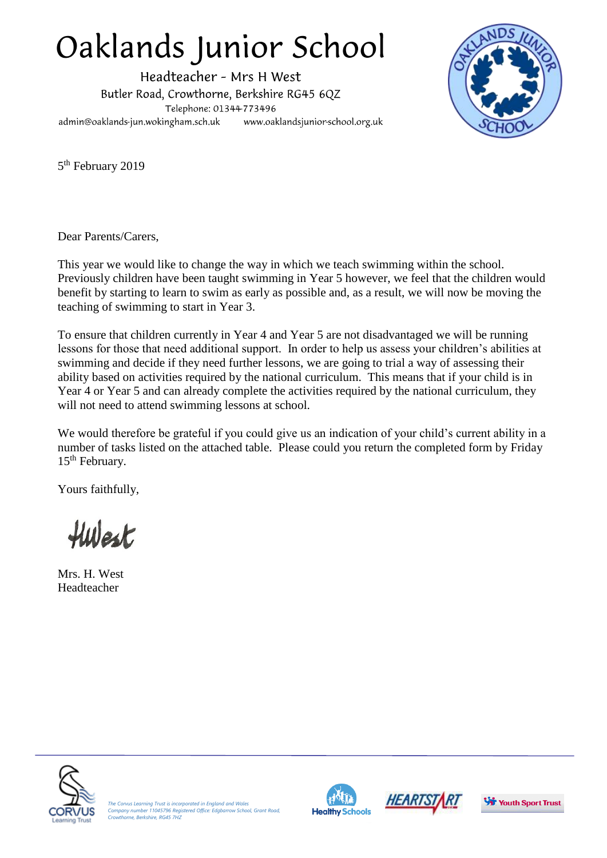## Oaklands Junior School

Headteacher - Mrs H West Butler Road, Crowthorne, Berkshire RG45 6QZ Telephone: 01344-773496 admin@oaklands-jun.wokingham.sch.uk www.oaklandsjunior-school.org.uk



5<sup>th</sup> February 2019

Dear Parents/Carers,

This year we would like to change the way in which we teach swimming within the school. Previously children have been taught swimming in Year 5 however, we feel that the children would benefit by starting to learn to swim as early as possible and, as a result, we will now be moving the teaching of swimming to start in Year 3.

To ensure that children currently in Year 4 and Year 5 are not disadvantaged we will be running lessons for those that need additional support. In order to help us assess your children's abilities at swimming and decide if they need further lessons, we are going to trial a way of assessing their ability based on activities required by the national curriculum. This means that if your child is in Year 4 or Year 5 and can already complete the activities required by the national curriculum, they will not need to attend swimming lessons at school.

We would therefore be grateful if you could give us an indication of your child's current ability in a number of tasks listed on the attached table. Please could you return the completed form by Friday 15<sup>th</sup> February.

Yours faithfully,

Hwest

Mrs. H. West Headteacher